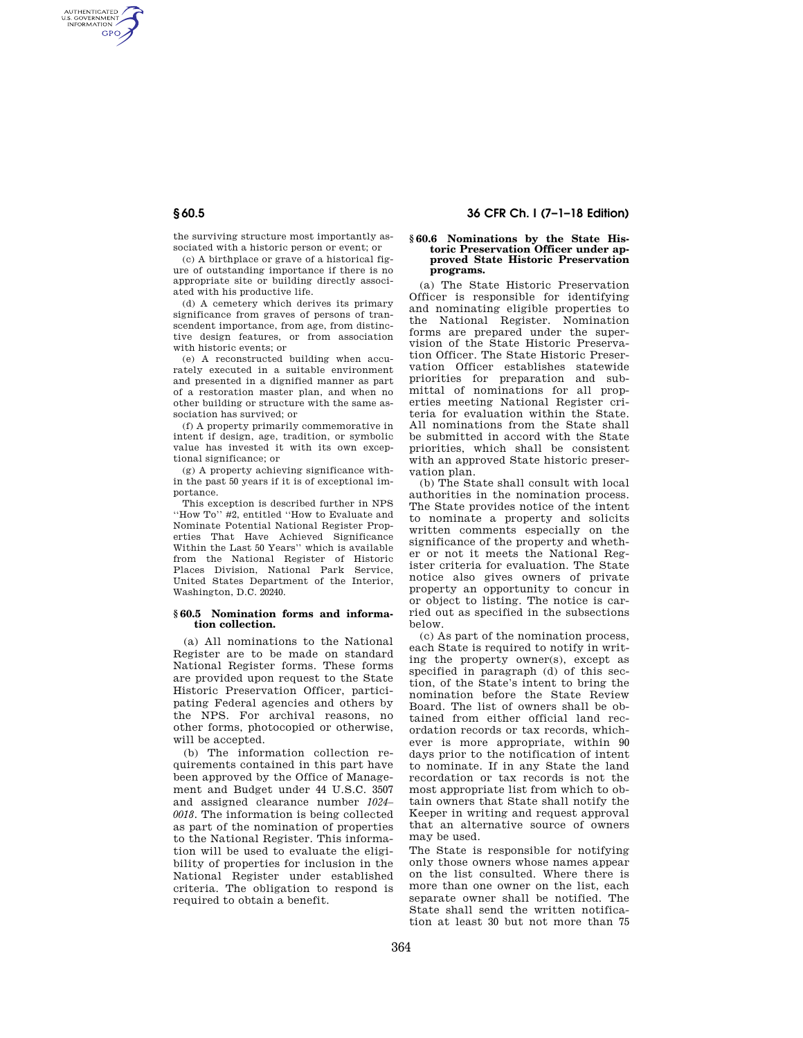AUTHENTICATED<br>U.S. GOVERNMENT<br>INFORMATION **GPO** 

> the surviving structure most importantly associated with a historic person or event; or

> (c) A birthplace or grave of a historical figure of outstanding importance if there is no appropriate site or building directly associated with his productive life.

> (d) A cemetery which derives its primary significance from graves of persons of transcendent importance, from age, from distinctive design features, or from association with historic events; or

> (e) A reconstructed building when accurately executed in a suitable environment and presented in a dignified manner as part of a restoration master plan, and when no other building or structure with the same association has survived; or

> (f) A property primarily commemorative in intent if design, age, tradition, or symbolic value has invested it with its own exceptional significance; or

> (g) A property achieving significance within the past 50 years if it is of exceptional importance.

> This exception is described further in NPS ''How To'' #2, entitled ''How to Evaluate and Nominate Potential National Register Properties That Have Achieved Significance Within the Last 50 Years'' which is available from the National Register of Historic Places Division, National Park Service, United States Department of the Interior, Washington, D.C. 20240.

#### **§ 60.5 Nomination forms and information collection.**

(a) All nominations to the National Register are to be made on standard National Register forms. These forms are provided upon request to the State Historic Preservation Officer, participating Federal agencies and others by the NPS. For archival reasons, no other forms, photocopied or otherwise, will be accepted.

(b) The information collection requirements contained in this part have been approved by the Office of Management and Budget under 44 U.S.C. 3507 and assigned clearance number *1024– 0018.* The information is being collected as part of the nomination of properties to the National Register. This information will be used to evaluate the eligibility of properties for inclusion in the National Register under established criteria. The obligation to respond is required to obtain a benefit.

## **§ 60.5 36 CFR Ch. I (7–1–18 Edition)**

# **§ 60.6 Nominations by the State His-toric Preservation Officer under approved State Historic Preservation programs.**

(a) The State Historic Preservation Officer is responsible for identifying and nominating eligible properties to the National Register. Nomination forms are prepared under the supervision of the State Historic Preservation Officer. The State Historic Preservation Officer establishes statewide priorities for preparation and submittal of nominations for all properties meeting National Register criteria for evaluation within the State. All nominations from the State shall be submitted in accord with the State priorities, which shall be consistent with an approved State historic preservation plan.

(b) The State shall consult with local authorities in the nomination process. The State provides notice of the intent to nominate a property and solicits written comments especially on the significance of the property and whether or not it meets the National Register criteria for evaluation. The State notice also gives owners of private property an opportunity to concur in or object to listing. The notice is carried out as specified in the subsections below.

(c) As part of the nomination process, each State is required to notify in writing the property owner(s), except as specified in paragraph (d) of this section, of the State's intent to bring the nomination before the State Review Board. The list of owners shall be obtained from either official land recordation records or tax records, whichever is more appropriate, within 90 days prior to the notification of intent to nominate. If in any State the land recordation or tax records is not the most appropriate list from which to obtain owners that State shall notify the Keeper in writing and request approval that an alternative source of owners may be used.

The State is responsible for notifying only those owners whose names appear on the list consulted. Where there is more than one owner on the list, each separate owner shall be notified. The State shall send the written notification at least 30 but not more than 75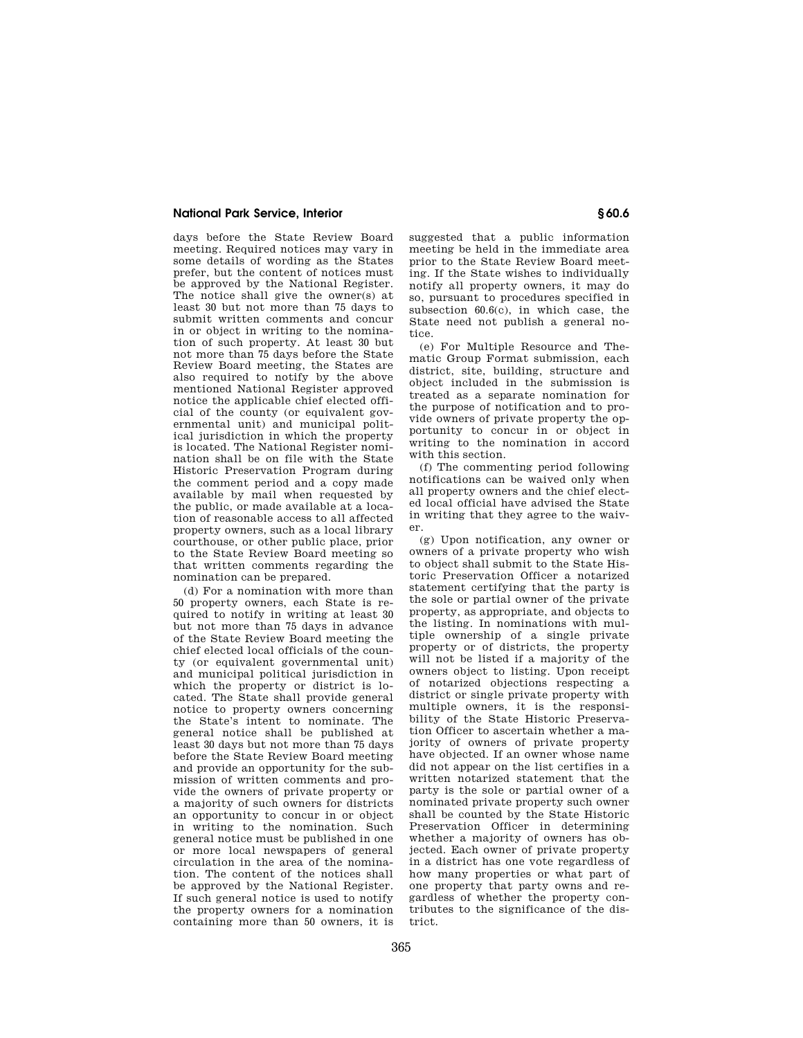# **National Park Service, Interior § 60.6**

days before the State Review Board meeting. Required notices may vary in some details of wording as the States prefer, but the content of notices must be approved by the National Register. The notice shall give the owner(s) at least 30 but not more than 75 days to submit written comments and concur in or object in writing to the nomination of such property. At least 30 but not more than 75 days before the State Review Board meeting, the States are also required to notify by the above mentioned National Register approved notice the applicable chief elected official of the county (or equivalent governmental unit) and municipal political jurisdiction in which the property is located. The National Register nomination shall be on file with the State Historic Preservation Program during the comment period and a copy made available by mail when requested by the public, or made available at a location of reasonable access to all affected property owners, such as a local library courthouse, or other public place, prior to the State Review Board meeting so that written comments regarding the nomination can be prepared.

(d) For a nomination with more than 50 property owners, each State is required to notify in writing at least 30 but not more than 75 days in advance of the State Review Board meeting the chief elected local officials of the county (or equivalent governmental unit) and municipal political jurisdiction in which the property or district is located. The State shall provide general notice to property owners concerning the State's intent to nominate. The general notice shall be published at least 30 days but not more than 75 days before the State Review Board meeting and provide an opportunity for the submission of written comments and provide the owners of private property or a majority of such owners for districts an opportunity to concur in or object in writing to the nomination. Such general notice must be published in one or more local newspapers of general circulation in the area of the nomination. The content of the notices shall be approved by the National Register. If such general notice is used to notify the property owners for a nomination containing more than 50 owners, it is

suggested that a public information meeting be held in the immediate area prior to the State Review Board meeting. If the State wishes to individually notify all property owners, it may do so, pursuant to procedures specified in subsection 60.6(c), in which case, the State need not publish a general notice.

(e) For Multiple Resource and Thematic Group Format submission, each district, site, building, structure and object included in the submission is treated as a separate nomination for the purpose of notification and to provide owners of private property the opportunity to concur in or object in writing to the nomination in accord with this section.

(f) The commenting period following notifications can be waived only when all property owners and the chief elected local official have advised the State in writing that they agree to the waiver.

(g) Upon notification, any owner or owners of a private property who wish to object shall submit to the State Historic Preservation Officer a notarized statement certifying that the party is the sole or partial owner of the private property, as appropriate, and objects to the listing. In nominations with multiple ownership of a single private property or of districts, the property will not be listed if a majority of the owners object to listing. Upon receipt of notarized objections respecting a district or single private property with multiple owners, it is the responsibility of the State Historic Preservation Officer to ascertain whether a majority of owners of private property have objected. If an owner whose name did not appear on the list certifies in a written notarized statement that the party is the sole or partial owner of a nominated private property such owner shall be counted by the State Historic Preservation Officer in determining whether a majority of owners has objected. Each owner of private property in a district has one vote regardless of how many properties or what part of one property that party owns and regardless of whether the property contributes to the significance of the district.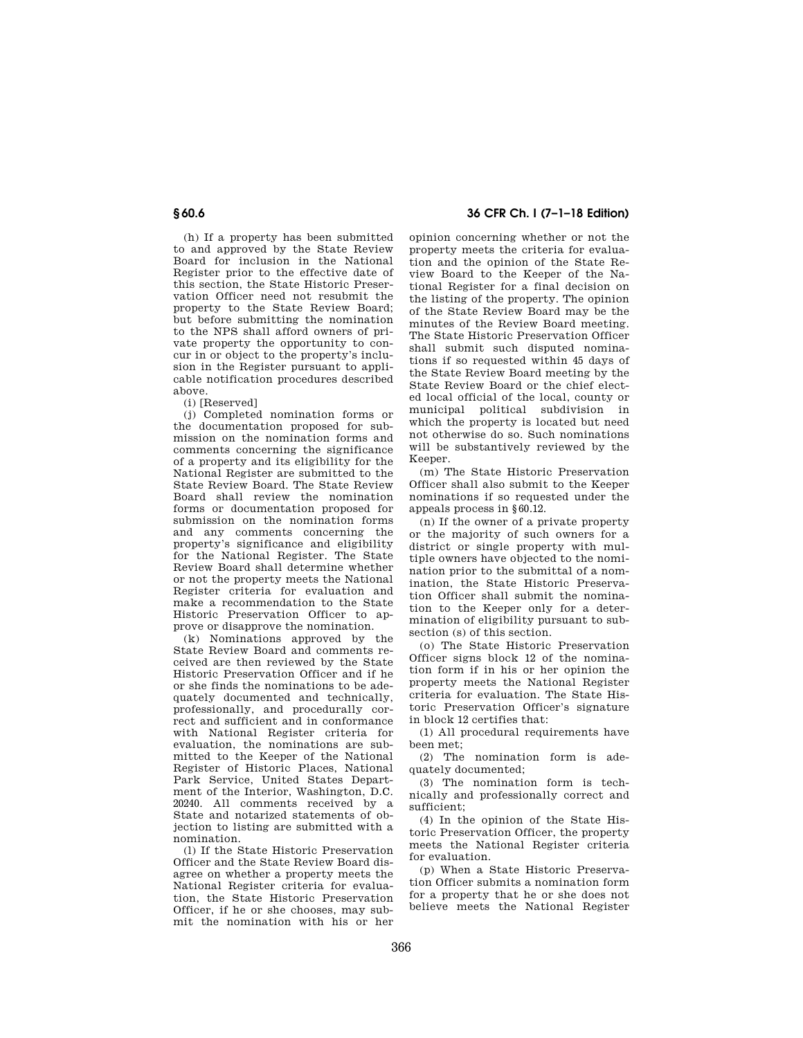(h) If a property has been submitted to and approved by the State Review Board for inclusion in the National Register prior to the effective date of this section, the State Historic Preservation Officer need not resubmit the property to the State Review Board; but before submitting the nomination to the NPS shall afford owners of private property the opportunity to concur in or object to the property's inclusion in the Register pursuant to applicable notification procedures described above.

(i) [Reserved]

(j) Completed nomination forms or the documentation proposed for submission on the nomination forms and comments concerning the significance of a property and its eligibility for the National Register are submitted to the State Review Board. The State Review Board shall review the nomination forms or documentation proposed for submission on the nomination forms and any comments concerning the property's significance and eligibility for the National Register. The State Review Board shall determine whether or not the property meets the National Register criteria for evaluation and make a recommendation to the State Historic Preservation Officer to approve or disapprove the nomination.

(k) Nominations approved by the State Review Board and comments received are then reviewed by the State Historic Preservation Officer and if he or she finds the nominations to be adequately documented and technically, professionally, and procedurally correct and sufficient and in conformance with National Register criteria for evaluation, the nominations are submitted to the Keeper of the National Register of Historic Places, National Park Service, United States Department of the Interior, Washington, D.C. 20240. All comments received by a State and notarized statements of objection to listing are submitted with a nomination.

(l) If the State Historic Preservation Officer and the State Review Board disagree on whether a property meets the National Register criteria for evaluation, the State Historic Preservation Officer, if he or she chooses, may submit the nomination with his or her

# **§ 60.6 36 CFR Ch. I (7–1–18 Edition)**

opinion concerning whether or not the property meets the criteria for evaluation and the opinion of the State Review Board to the Keeper of the National Register for a final decision on the listing of the property. The opinion of the State Review Board may be the minutes of the Review Board meeting. The State Historic Preservation Officer shall submit such disputed nominations if so requested within 45 days of the State Review Board meeting by the State Review Board or the chief elected local official of the local, county or municipal political subdivision in which the property is located but need not otherwise do so. Such nominations will be substantively reviewed by the Keeper.

(m) The State Historic Preservation Officer shall also submit to the Keeper nominations if so requested under the appeals process in §60.12.

(n) If the owner of a private property or the majority of such owners for a district or single property with multiple owners have objected to the nomination prior to the submittal of a nomination, the State Historic Preservation Officer shall submit the nomination to the Keeper only for a determination of eligibility pursuant to subsection (s) of this section.

(o) The State Historic Preservation Officer signs block 12 of the nomination form if in his or her opinion the property meets the National Register criteria for evaluation. The State Historic Preservation Officer's signature in block 12 certifies that:

(1) All procedural requirements have been met;

(2) The nomination form is adequately documented;

(3) The nomination form is technically and professionally correct and sufficient;

(4) In the opinion of the State Historic Preservation Officer, the property meets the National Register criteria for evaluation.

(p) When a State Historic Preservation Officer submits a nomination form for a property that he or she does not believe meets the National Register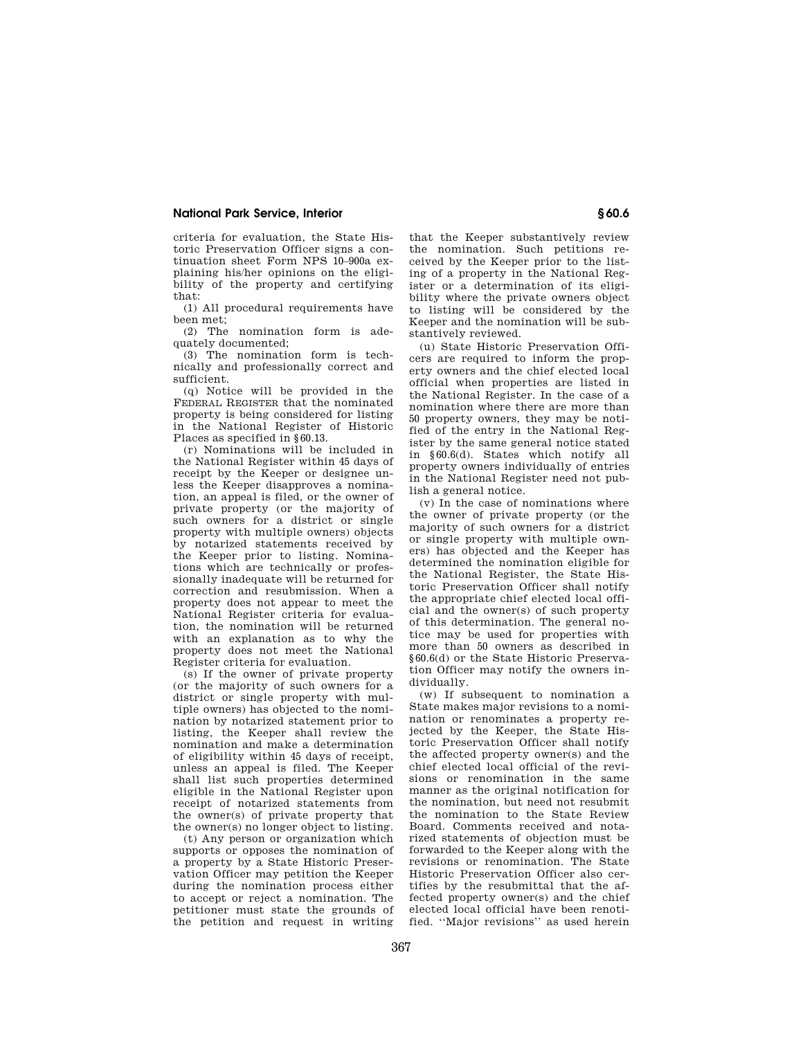### **National Park Service, Interior § 60.6**

criteria for evaluation, the State Historic Preservation Officer signs a continuation sheet Form NPS 10–900a explaining his/her opinions on the eligibility of the property and certifying that:

(1) All procedural requirements have been met;

(2) The nomination form is adequately documented;

(3) The nomination form is technically and professionally correct and sufficient.

(q) Notice will be provided in the FEDERAL REGISTER that the nominated property is being considered for listing in the National Register of Historic Places as specified in §60.13.

(r) Nominations will be included in the National Register within 45 days of receipt by the Keeper or designee unless the Keeper disapproves a nomination, an appeal is filed, or the owner of private property (or the majority of such owners for a district or single property with multiple owners) objects by notarized statements received by the Keeper prior to listing. Nominations which are technically or professionally inadequate will be returned for correction and resubmission. When a property does not appear to meet the National Register criteria for evaluation, the nomination will be returned with an explanation as to why the property does not meet the National Register criteria for evaluation.

(s) If the owner of private property (or the majority of such owners for a district or single property with multiple owners) has objected to the nomination by notarized statement prior to listing, the Keeper shall review the nomination and make a determination of eligibility within 45 days of receipt, unless an appeal is filed. The Keeper shall list such properties determined eligible in the National Register upon receipt of notarized statements from the owner(s) of private property that the owner(s) no longer object to listing.

(t) Any person or organization which supports or opposes the nomination of a property by a State Historic Preservation Officer may petition the Keeper during the nomination process either to accept or reject a nomination. The petitioner must state the grounds of the petition and request in writing

that the Keeper substantively review the nomination. Such petitions received by the Keeper prior to the listing of a property in the National Register or a determination of its eligibility where the private owners object to listing will be considered by the Keeper and the nomination will be substantively reviewed.

(u) State Historic Preservation Officers are required to inform the property owners and the chief elected local official when properties are listed in the National Register. In the case of a nomination where there are more than 50 property owners, they may be notified of the entry in the National Register by the same general notice stated in §60.6(d). States which notify all property owners individually of entries in the National Register need not publish a general notice.

(v) In the case of nominations where the owner of private property (or the majority of such owners for a district or single property with multiple owners) has objected and the Keeper has determined the nomination eligible for the National Register, the State Historic Preservation Officer shall notify the appropriate chief elected local official and the owner(s) of such property of this determination. The general notice may be used for properties with more than 50 owners as described in §60.6(d) or the State Historic Preservation Officer may notify the owners individually.

(w) If subsequent to nomination a State makes major revisions to a nomination or renominates a property rejected by the Keeper, the State Historic Preservation Officer shall notify the affected property owner(s) and the chief elected local official of the revisions or renomination in the same manner as the original notification for the nomination, but need not resubmit the nomination to the State Review Board. Comments received and notarized statements of objection must be forwarded to the Keeper along with the revisions or renomination. The State Historic Preservation Officer also certifies by the resubmittal that the affected property owner(s) and the chief elected local official have been renotified. ''Major revisions'' as used herein